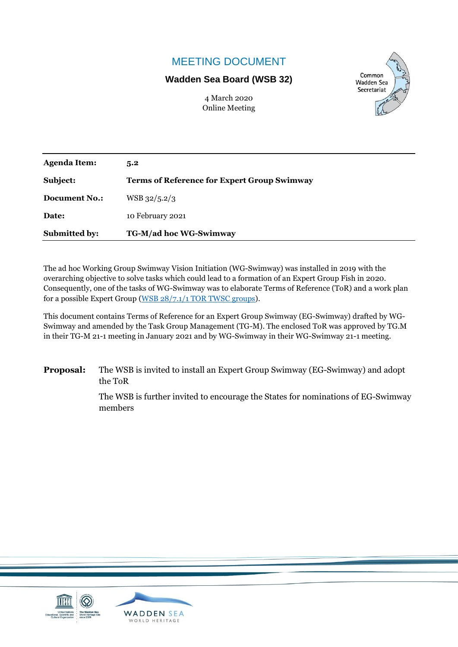# MEETING DOCUMENT

#### **Wadden Sea Board (WSB 32)**

4 March 2020 Online Meeting



| <b>Agenda Item:</b>  | 5.2                                                |
|----------------------|----------------------------------------------------|
| Subject:             | <b>Terms of Reference for Expert Group Swimway</b> |
| <b>Document No.:</b> | $WSB$ 32/5.2/3                                     |
| Date:                | 10 February 2021                                   |
| <b>Submitted by:</b> | TG-M/ad hoc WG-Swimway                             |

The ad hoc Working Group Swimway Vision Initiation (WG-Swimway) was installed in 2019 with the overarching objective to solve tasks which could lead to a formation of an Expert Group Fish in 2020. Consequently, one of the tasks of WG-Swimway was to elaborate Terms of Reference (ToR) and a work plan for a possible Expert Group [\(WSB 28/7.1/1 TOR TWSC groups\)](https://www.waddensea-worldheritage.org/system/files/WSB-28-7-1-1_TWSC_TOR_of_groups.pdf).

This document contains Terms of Reference for an Expert Group Swimway (EG-Swimway) drafted by WG-Swimway and amended by the Task Group Management (TG-M). The enclosed ToR was approved by TG.M in their TG-M 21-1 meeting in January 2021 and by WG-Swimway in their WG-Swimway 21-1 meeting.

**Proposal:** The WSB is invited to install an Expert Group Swimway (EG-Swimway) and adopt the ToR

> The WSB is further invited to encourage the States for nominations of EG-Swimway members

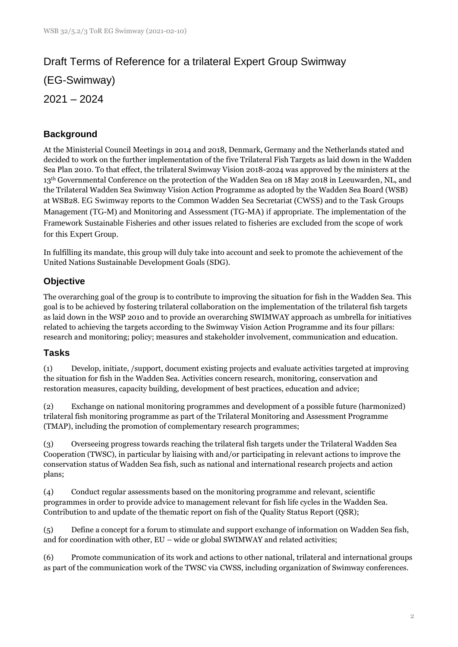# Draft Terms of Reference for a trilateral Expert Group Swimway

(EG-Swimway)

2021 – 2024

# **Background**

At the Ministerial Council Meetings in 2014 and 2018, Denmark, Germany and the Netherlands stated and decided to work on the further implementation of the five Trilateral Fish Targets as laid down in the Wadden Sea Plan 2010. To that effect, the trilateral Swimway Vision 2018-2024 was approved by the ministers at the 13th Governmental Conference on the protection of the Wadden Sea on 18 May 2018 in Leeuwarden, NL, and the Trilateral Wadden Sea Swimway Vision Action Programme as adopted by the Wadden Sea Board (WSB) at WSB28. EG Swimway reports to the Common Wadden Sea Secretariat (CWSS) and to the Task Groups Management (TG-M) and Monitoring and Assessment (TG-MA) if appropriate. The implementation of the Framework Sustainable Fisheries and other issues related to fisheries are excluded from the scope of work for this Expert Group.

In fulfilling its mandate, this group will duly take into account and seek to promote the achievement of the United Nations Sustainable Development Goals (SDG).

# **Objective**

The overarching goal of the group is to contribute to improving the situation for fish in the Wadden Sea. This goal is to be achieved by fostering trilateral collaboration on the implementation of the trilateral fish targets as laid down in the WSP 2010 and to provide an overarching SWIMWAY approach as umbrella for initiatives related to achieving the targets according to the Swimway Vision Action Programme and its four pillars: research and monitoring; policy; measures and stakeholder involvement, communication and education.

## **Tasks**

(1) Develop, initiate, /support, document existing projects and evaluate activities targeted at improving the situation for fish in the Wadden Sea. Activities concern research, monitoring, conservation and restoration measures, capacity building, development of best practices, education and advice;

(2) Exchange on national monitoring programmes and development of a possible future (harmonized) trilateral fish monitoring programme as part of the Trilateral Monitoring and Assessment Programme (TMAP), including the promotion of complementary research programmes;

(3) Overseeing progress towards reaching the trilateral fish targets under the Trilateral Wadden Sea Cooperation (TWSC), in particular by liaising with and/or participating in relevant actions to improve the conservation status of Wadden Sea fish, such as national and international research projects and action plans;

(4) Conduct regular assessments based on the monitoring programme and relevant, scientific programmes in order to provide advice to management relevant for fish life cycles in the Wadden Sea. Contribution to and update of the thematic report on fish of the Quality Status Report (QSR);

(5) Define a concept for a forum to stimulate and support exchange of information on Wadden Sea fish, and for coordination with other, EU – wide or global SWIMWAY and related activities;

(6) Promote communication of its work and actions to other national, trilateral and international groups as part of the communication work of the TWSC via CWSS, including organization of Swimway conferences.